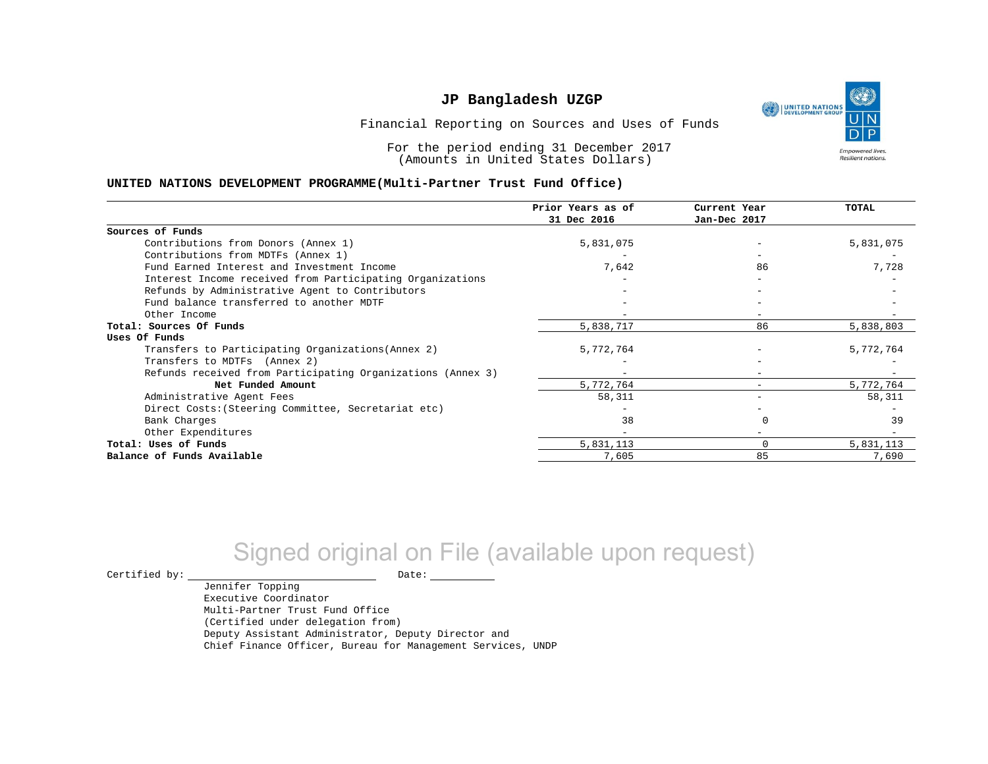UNITED NATIONS **Empowered lives** Resilient nations.

Financial Reporting on Sources and Uses of Funds

For the period ending 31 December 2017 (Amounts in United States Dollars)

#### **UNITED NATIONS DEVELOPMENT PROGRAMME(Multi-Partner Trust Fund Office)**

|                                                             | Prior Years as of<br>31 Dec 2016 | Current Year<br>Jan-Dec 2017 | <b>TOTAL</b> |
|-------------------------------------------------------------|----------------------------------|------------------------------|--------------|
|                                                             |                                  |                              |              |
| Sources of Funds                                            |                                  |                              |              |
| Contributions from Donors (Annex 1)                         | 5,831,075                        |                              | 5,831,075    |
| Contributions from MDTFs (Annex 1)                          |                                  |                              |              |
| Fund Earned Interest and Investment Income                  | 7,642                            | 86                           | 7,728        |
| Interest Income received from Participating Organizations   |                                  |                              |              |
| Refunds by Administrative Agent to Contributors             |                                  |                              |              |
| Fund balance transferred to another MDTF                    |                                  |                              |              |
| Other Income                                                |                                  | $-$                          |              |
| Total: Sources Of Funds                                     | 5,838,717                        | 86                           | 5,838,803    |
| Uses Of Funds                                               |                                  |                              |              |
| Transfers to Participating Organizations (Annex 2)          | 5,772,764                        |                              | 5,772,764    |
| Transfers to MDTFs (Annex 2)                                |                                  |                              |              |
| Refunds received from Participating Organizations (Annex 3) |                                  | -                            |              |
| Net Funded Amount                                           | 5,772,764                        | $-$                          | 5,772,764    |
| Administrative Agent Fees                                   | 58,311                           | -                            | 58,311       |
| Direct Costs: (Steering Committee, Secretariat etc)         |                                  |                              |              |
| Bank Charges                                                | 38                               |                              | 39           |
| Other Expenditures                                          |                                  |                              |              |
| Total: Uses of Funds                                        | 5,831,113                        |                              | 5,831,113    |
| Balance of Funds Available                                  | 7,605                            | 85                           | 7,690        |

# Signed original on File (available upon request)

 $\begin{tabular}{ccccc} \multicolumn{2}{c|}{\textbf{Certified by:}} & \multicolumn{2}{c|}{\textbf{Date:}} \end{tabular}$ 

Jennifer Topping Executive Coordinator Multi-Partner Trust Fund Office (Certified under delegation from) Deputy Assistant Administrator, Deputy Director and Chief Finance Officer, Bureau for Management Services, UNDP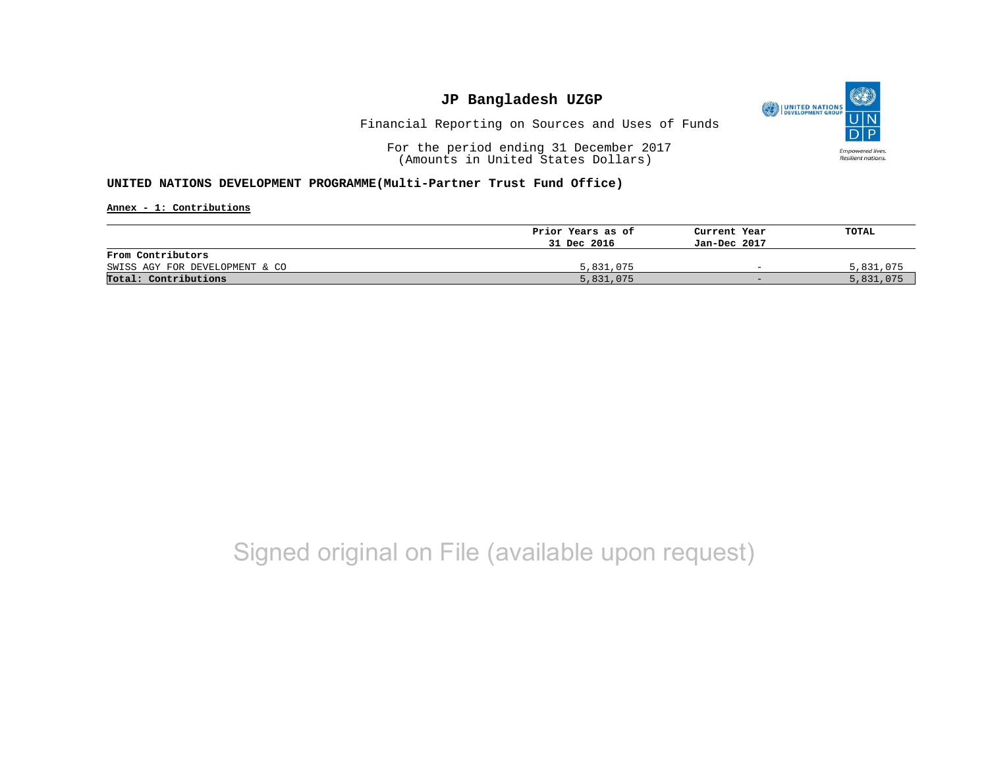

Financial Reporting on Sources and Uses of Funds

For the period ending 31 December 2017 (Amounts in United States Dollars)

#### **UNITED NATIONS DEVELOPMENT PROGRAMME(Multi-Partner Trust Fund Office)**

**Annex - 1: Contributions**

|                                | Prior Years as of | Current Year             | TOTAL     |
|--------------------------------|-------------------|--------------------------|-----------|
|                                | 31 Dec 2016       | Jan-Dec 2017             |           |
| From Contributors              |                   |                          |           |
| SWISS AGY FOR DEVELOPMENT & CO | 5,831,075         | $\overline{\phantom{0}}$ | 5,831,075 |
| Total: Contributions           | 5,831,075         | $-$                      | 5,831,075 |

# Signed original on File (available upon request)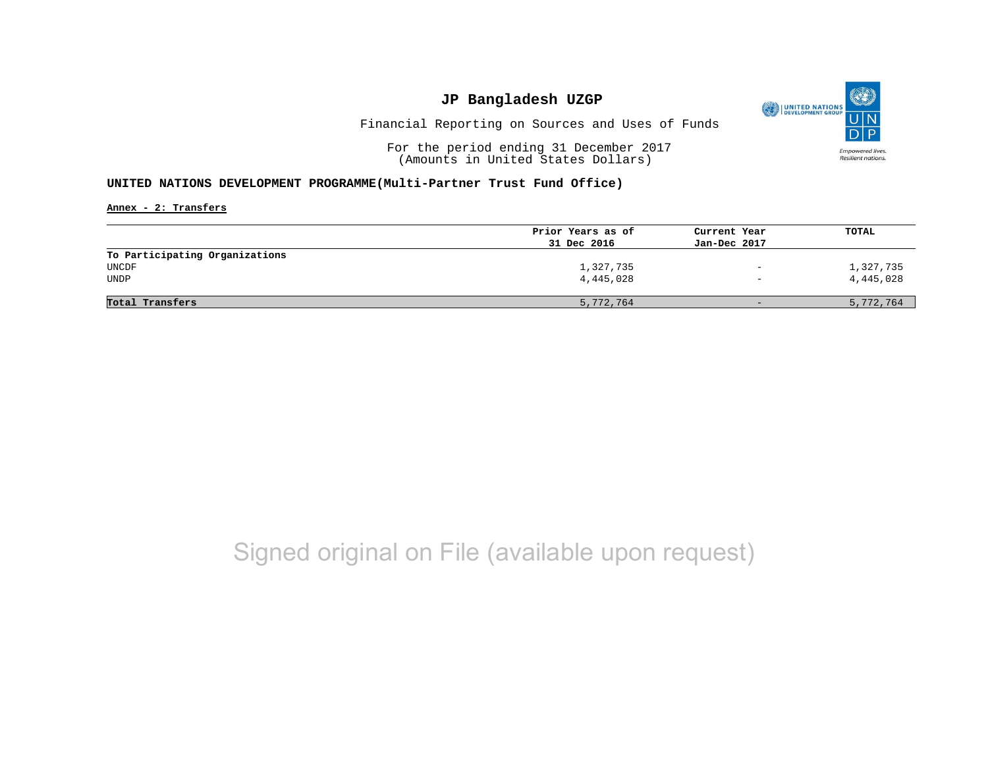

Financial Reporting on Sources and Uses of Funds

For the period ending 31 December 2017 (Amounts in United States Dollars)

#### **UNITED NATIONS DEVELOPMENT PROGRAMME(Multi-Partner Trust Fund Office)**

**Annex - 2: Transfers**

| TOTAL     |
|-----------|
|           |
|           |
|           |
| 1,327,735 |
| 4,445,028 |
|           |
| 5,772,764 |
|           |

# Signed original on File (available upon request)